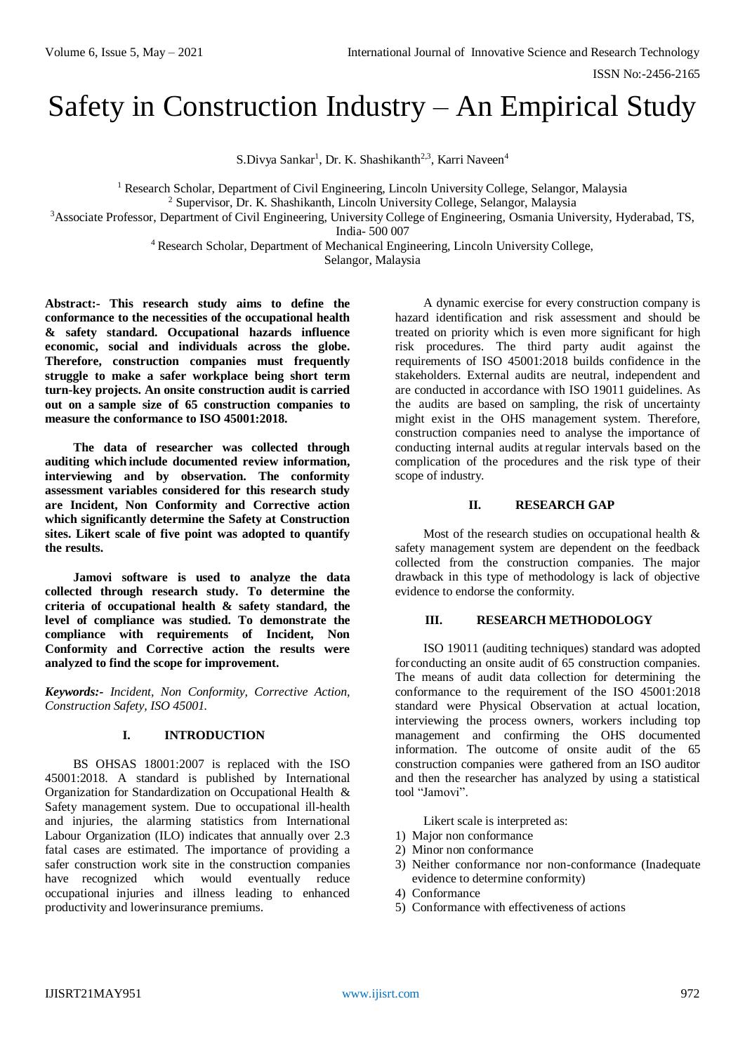# Safety in Construction Industry – An Empirical Study

S.Divya Sankar<sup>1</sup>, Dr. K. Shashikanth<sup>2,3</sup>, Karri Naveen<sup>4</sup>

<sup>1</sup> Research Scholar, Department of Civil Engineering, Lincoln University College, Selangor, Malaysia

<sup>2</sup> Supervisor, Dr. K. Shashikanth, Lincoln University College, Selangor, Malaysia

<sup>3</sup>Associate Professor, Department of Civil Engineering, University College of Engineering, Osmania University, Hyderabad, TS, India- 500 007

<sup>4</sup> Research Scholar, Department of Mechanical Engineering, Lincoln University College,

Selangor, Malaysia

**Abstract:- This research study aims to define the conformance to the necessities of the occupational health & safety standard. Occupational hazards influence economic, social and individuals across the globe. Therefore, construction companies must frequently struggle to make a safer workplace being short term turn-key projects. An onsite construction audit is carried out on a sample size of 65 construction companies to measure the conformance to ISO 45001:2018.**

**The data of researcher was collected through auditing which include documented review information, interviewing and by observation. The conformity assessment variables considered for this research study are Incident, Non Conformity and Corrective action which significantly determine the Safety at Construction sites. Likert scale of five point was adopted to quantify the results.**

**Jamovi software is used to analyze the data collected through research study. To determine the criteria of occupational health & safety standard, the level of compliance was studied. To demonstrate the compliance with requirements of Incident, Non Conformity and Corrective action the results were analyzed to find the scope for improvement.**

*Keywords:- Incident, Non Conformity, Corrective Action, Construction Safety, ISO 45001.*

# **I. INTRODUCTION**

BS OHSAS 18001:2007 is replaced with the ISO 45001:2018. A standard is published by International Organization for Standardization on Occupational Health & Safety management system. Due to occupational ill-health and injuries, the alarming statistics from International Labour Organization (ILO) indicates that annually over 2.3 fatal cases are estimated. The importance of providing a safer construction work site in the construction companies have recognized which would eventually reduce occupational injuries and illness leading to enhanced productivity and lowerinsurance premiums.

A dynamic exercise for every construction company is hazard identification and risk assessment and should be treated on priority which is even more significant for high risk procedures. The third party audit against the requirements of ISO 45001:2018 builds confidence in the stakeholders. External audits are neutral, independent and are conducted in accordance with ISO 19011 guidelines. As the audits are based on sampling, the risk of uncertainty might exist in the OHS management system. Therefore, construction companies need to analyse the importance of conducting internal audits atregular intervals based on the complication of the procedures and the risk type of their scope of industry.

# **II. RESEARCH GAP**

Most of the research studies on occupational health & safety management system are dependent on the feedback collected from the construction companies. The major drawback in this type of methodology is lack of objective evidence to endorse the conformity.

# **III. RESEARCH METHODOLOGY**

ISO 19011 (auditing techniques) standard was adopted forconducting an onsite audit of 65 construction companies. The means of audit data collection for determining the conformance to the requirement of the ISO 45001:2018 standard were Physical Observation at actual location, interviewing the process owners, workers including top management and confirming the OHS documented information. The outcome of onsite audit of the 65 construction companies were gathered from an ISO auditor and then the researcher has analyzed by using a statistical tool "Jamovi".

Likert scale is interpreted as:

- 1) Major non conformance
- 2) Minor non conformance
- 3) Neither conformance nor non-conformance (Inadequate evidence to determine conformity)
- 4) Conformance
- 5) Conformance with effectiveness of actions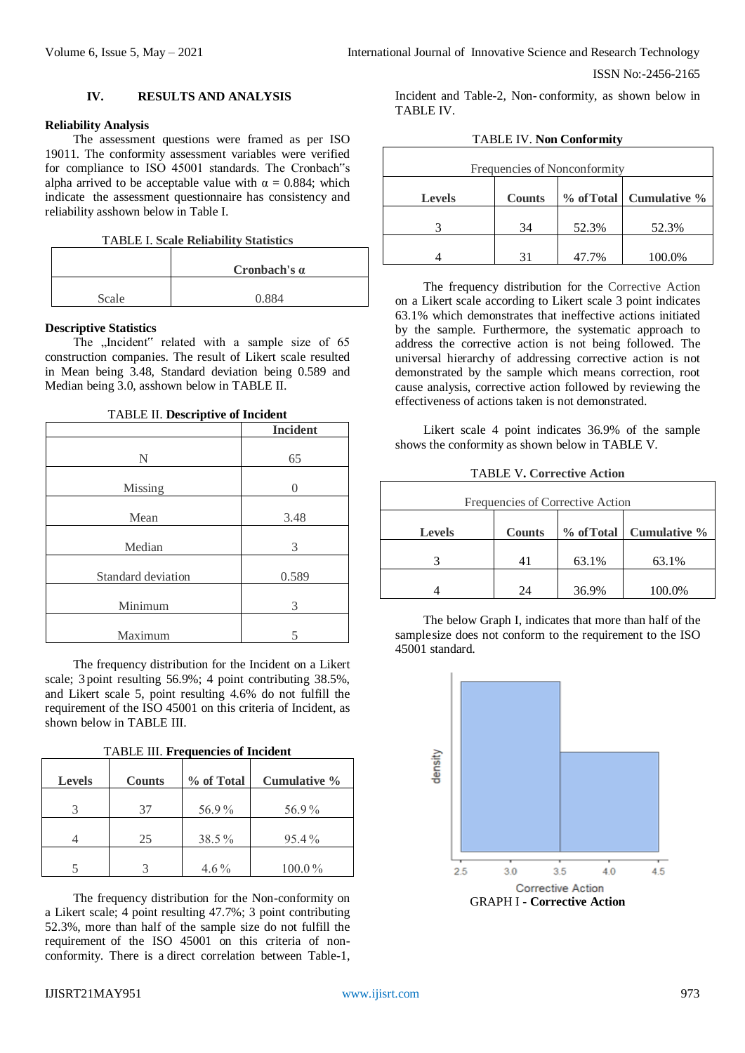ISSN No:-2456-2165

## **IV. RESULTS AND ANALYSIS**

#### **Reliability Analysis**

The assessment questions were framed as per ISO 19011*.* The conformity assessment variables were verified for compliance to ISO 45001 standards. The Cronbach"s alpha arrived to be acceptable value with  $\alpha = 0.884$ ; which indicate the assessment questionnaire has consistency and reliability asshown below in Table I.

TABLE I. **Scale Reliability Statistics**

|       | Cronbach's $\alpha$ |  |
|-------|---------------------|--|
| Scale | 0.884               |  |

#### **Descriptive Statistics**

The "Incident" related with a sample size of 65 construction companies. The result of Likert scale resulted in Mean being 3.48, Standard deviation being 0.589 and Median being 3.0, asshown below in TABLE II.

| <b>TABLE II. Descriptive of Incident</b> |  |
|------------------------------------------|--|
|------------------------------------------|--|

|                    | <b>Incident</b>  |
|--------------------|------------------|
| N                  | 65               |
| Missing            | $\left( \right)$ |
| Mean               | 3.48             |
| Median             | 3                |
| Standard deviation | 0.589            |
| Minimum            | 3                |
| Maximum            |                  |

The frequency distribution for the Incident on a Likert scale; 3 point resulting 56.9%; 4 point contributing 38.5%, and Likert scale 5, point resulting 4.6% do not fulfill the requirement of the ISO 45001 on this criteria of Incident, as shown below in TABLE III.

|  | <b>TABLE III. Frequencies of Incident</b> |  |
|--|-------------------------------------------|--|
|--|-------------------------------------------|--|

| <b>Levels</b> | <b>Counts</b> | % of Total | Cumulative % |
|---------------|---------------|------------|--------------|
|               | 37            | 56.9%      | 56.9%        |
|               | 25            | 38.5%      | 95.4%        |
|               |               | $4.6\%$    | $100.0\%$    |

The frequency distribution for the Non-conformity on a Likert scale; 4 point resulting 47.7%; 3 point contributing 52.3%, more than half of the sample size do not fulfill the requirement of the ISO 45001 on this criteria of nonconformity. There is a direct correlation between Table-1, Incident and Table-2, Non- conformity, as shown below in TABLE IV.

| Frequencies of Nonconformity |                                            |       |        |  |
|------------------------------|--------------------------------------------|-------|--------|--|
| <b>Levels</b>                | % of Total   Cumulative %<br><b>Counts</b> |       |        |  |
|                              | 34                                         | 52.3% | 52.3%  |  |
|                              | 31                                         | 47.7% | 100.0% |  |

The frequency distribution for the Corrective Action on a Likert scale according to Likert scale 3 point indicates 63.1% which demonstrates that ineffective actions initiated by the sample. Furthermore, the systematic approach to address the corrective action is not being followed. The universal hierarchy of addressing corrective action is not demonstrated by the sample which means correction, root cause analysis, corrective action followed by reviewing the effectiveness of actions taken is not demonstrated.

Likert scale 4 point indicates 36.9% of the sample shows the conformity as shown below in TABLE V.

| <b>TABLE V. Corrective Action</b> |  |  |  |
|-----------------------------------|--|--|--|
|-----------------------------------|--|--|--|

| Frequencies of Corrective Action                            |    |       |        |
|-------------------------------------------------------------|----|-------|--------|
| % of Total   Cumulative %<br><b>Counts</b><br><b>Levels</b> |    |       |        |
|                                                             |    | 63.1% | 63.1%  |
|                                                             | 24 | 36.9% | 100.0% |

The below Graph I, indicates that more than half of the samplesize does not conform to the requirement to the ISO 45001 standard.